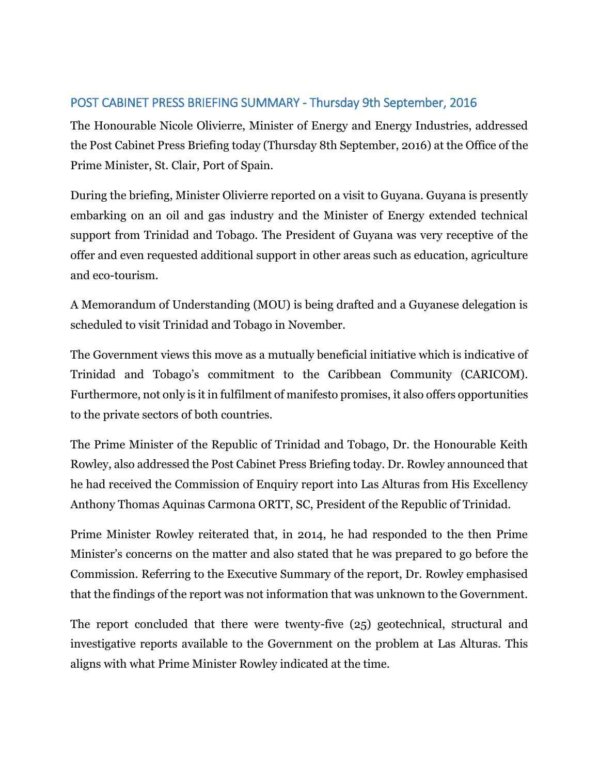## POST CABINET PRESS BRIEFING SUMMARY - Thursday 9th September, 2016

The Honourable Nicole Olivierre, Minister of Energy and Energy Industries, addressed the Post Cabinet Press Briefing today (Thursday 8th September, 2016) at the Office of the Prime Minister, St. Clair, Port of Spain.

During the briefing, Minister Olivierre reported on a visit to Guyana. Guyana is presently embarking on an oil and gas industry and the Minister of Energy extended technical support from Trinidad and Tobago. The President of Guyana was very receptive of the offer and even requested additional support in other areas such as education, agriculture and eco-tourism.

A Memorandum of Understanding (MOU) is being drafted and a Guyanese delegation is scheduled to visit Trinidad and Tobago in November.

The Government views this move as a mutually beneficial initiative which is indicative of Trinidad and Tobago's commitment to the Caribbean Community (CARICOM). Furthermore, not only is it in fulfilment of manifesto promises, it also offers opportunities to the private sectors of both countries.

The Prime Minister of the Republic of Trinidad and Tobago, Dr. the Honourable Keith Rowley, also addressed the Post Cabinet Press Briefing today. Dr. Rowley announced that he had received the Commission of Enquiry report into Las Alturas from His Excellency Anthony Thomas Aquinas Carmona ORTT, SC, President of the Republic of Trinidad.

Prime Minister Rowley reiterated that, in 2014, he had responded to the then Prime Minister's concerns on the matter and also stated that he was prepared to go before the Commission. Referring to the Executive Summary of the report, Dr. Rowley emphasised that the findings of the report was not information that was unknown to the Government.

The report concluded that there were twenty-five (25) geotechnical, structural and investigative reports available to the Government on the problem at Las Alturas. This aligns with what Prime Minister Rowley indicated at the time.